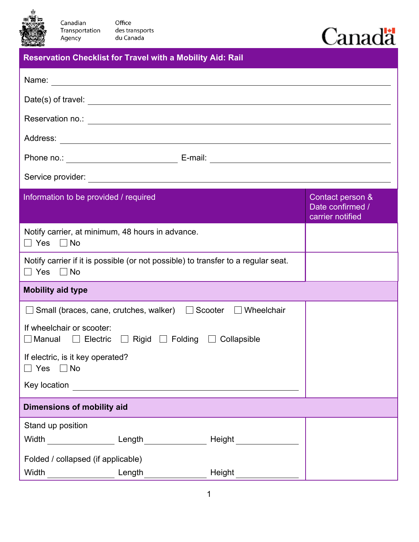

Canadian

Agency

Office des transports<br>du Canada Transportation

## Canadä

| <b>Reservation Checklist for Travel with a Mobility Aid: Rail</b> |
|-------------------------------------------------------------------|
|                                                                   |

| Name:                                                                                                     |  | <u> 1989 - Johann Stoff, deutscher Stoffen und der Stoffen und der Stoffen und der Stoffen und der Stoffen und de</u> |                                                          |  |  |
|-----------------------------------------------------------------------------------------------------------|--|-----------------------------------------------------------------------------------------------------------------------|----------------------------------------------------------|--|--|
|                                                                                                           |  |                                                                                                                       |                                                          |  |  |
|                                                                                                           |  |                                                                                                                       |                                                          |  |  |
|                                                                                                           |  |                                                                                                                       |                                                          |  |  |
|                                                                                                           |  |                                                                                                                       |                                                          |  |  |
|                                                                                                           |  |                                                                                                                       |                                                          |  |  |
| Information to be provided / required                                                                     |  |                                                                                                                       | Contact person &<br>Date confirmed /<br>carrier notified |  |  |
| Notify carrier, at minimum, 48 hours in advance.<br>$\Box$ Yes $\Box$ No                                  |  |                                                                                                                       |                                                          |  |  |
| $\Box$ Yes $\Box$ No                                                                                      |  | Notify carrier if it is possible (or not possible) to transfer to a regular seat.                                     |                                                          |  |  |
| <b>Mobility aid type</b>                                                                                  |  |                                                                                                                       |                                                          |  |  |
| □ Small (braces, cane, crutches, walker) □ Scooter □ Wheelchair                                           |  |                                                                                                                       |                                                          |  |  |
| If wheelchair or scooter:<br>$\Box$ Manual $\Box$ Electric $\Box$ Rigid $\Box$ Folding $\Box$ Collapsible |  |                                                                                                                       |                                                          |  |  |
| If electric, is it key operated?<br>$\Box$ Yes $\Box$ No                                                  |  |                                                                                                                       |                                                          |  |  |
| Key location                                                                                              |  |                                                                                                                       |                                                          |  |  |
| <b>Dimensions of mobility aid</b>                                                                         |  |                                                                                                                       |                                                          |  |  |
| Stand up position                                                                                         |  |                                                                                                                       |                                                          |  |  |
|                                                                                                           |  |                                                                                                                       |                                                          |  |  |
| Folded / collapsed (if applicable)                                                                        |  |                                                                                                                       |                                                          |  |  |
| Width Length Length                                                                                       |  | Height                                                                                                                |                                                          |  |  |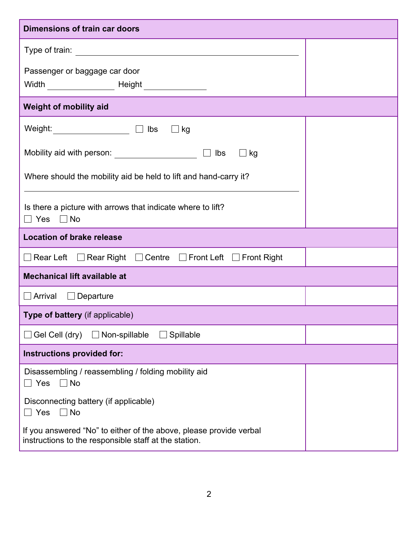| <b>Dimensions of train car doors</b>                                                                                                   |  |  |  |  |  |  |
|----------------------------------------------------------------------------------------------------------------------------------------|--|--|--|--|--|--|
| Type of train:<br><u> 1980 - John Stein, mars and de Britain and de Britain and de Britain and de Britain and de Britain and de Br</u> |  |  |  |  |  |  |
| Passenger or baggage car door                                                                                                          |  |  |  |  |  |  |
| <b>Weight of mobility aid</b>                                                                                                          |  |  |  |  |  |  |
| Weight: $\qquad \qquad \Box$ lbs<br>$\Box$ kg                                                                                          |  |  |  |  |  |  |
| Mobility aid with person: ____________________<br>lbs<br>$\Box$ kg                                                                     |  |  |  |  |  |  |
| Where should the mobility aid be held to lift and hand-carry it?                                                                       |  |  |  |  |  |  |
| Is there a picture with arrows that indicate where to lift?<br>$\Box$ Yes $\Box$ No                                                    |  |  |  |  |  |  |
| <b>Location of brake release</b>                                                                                                       |  |  |  |  |  |  |
| □ Rear Left □ Rear Right □ Centre □ Front Left □ Front Right                                                                           |  |  |  |  |  |  |
| <b>Mechanical lift available at</b>                                                                                                    |  |  |  |  |  |  |
| $\Box$ Arrival<br>$\Box$ Departure                                                                                                     |  |  |  |  |  |  |
| Type of battery (if applicable)                                                                                                        |  |  |  |  |  |  |
| $\Box$ Gel Cell (dry) $\Box$ Non-spillable<br>Spillable                                                                                |  |  |  |  |  |  |
| Instructions provided for:                                                                                                             |  |  |  |  |  |  |
| Disassembling / reassembling / folding mobility aid<br>No<br>$\Box$ Yes                                                                |  |  |  |  |  |  |
| Disconnecting battery (if applicable)<br>$\Box$ Yes<br>$\Box$ No                                                                       |  |  |  |  |  |  |
| If you answered "No" to either of the above, please provide verbal<br>instructions to the responsible staff at the station.            |  |  |  |  |  |  |